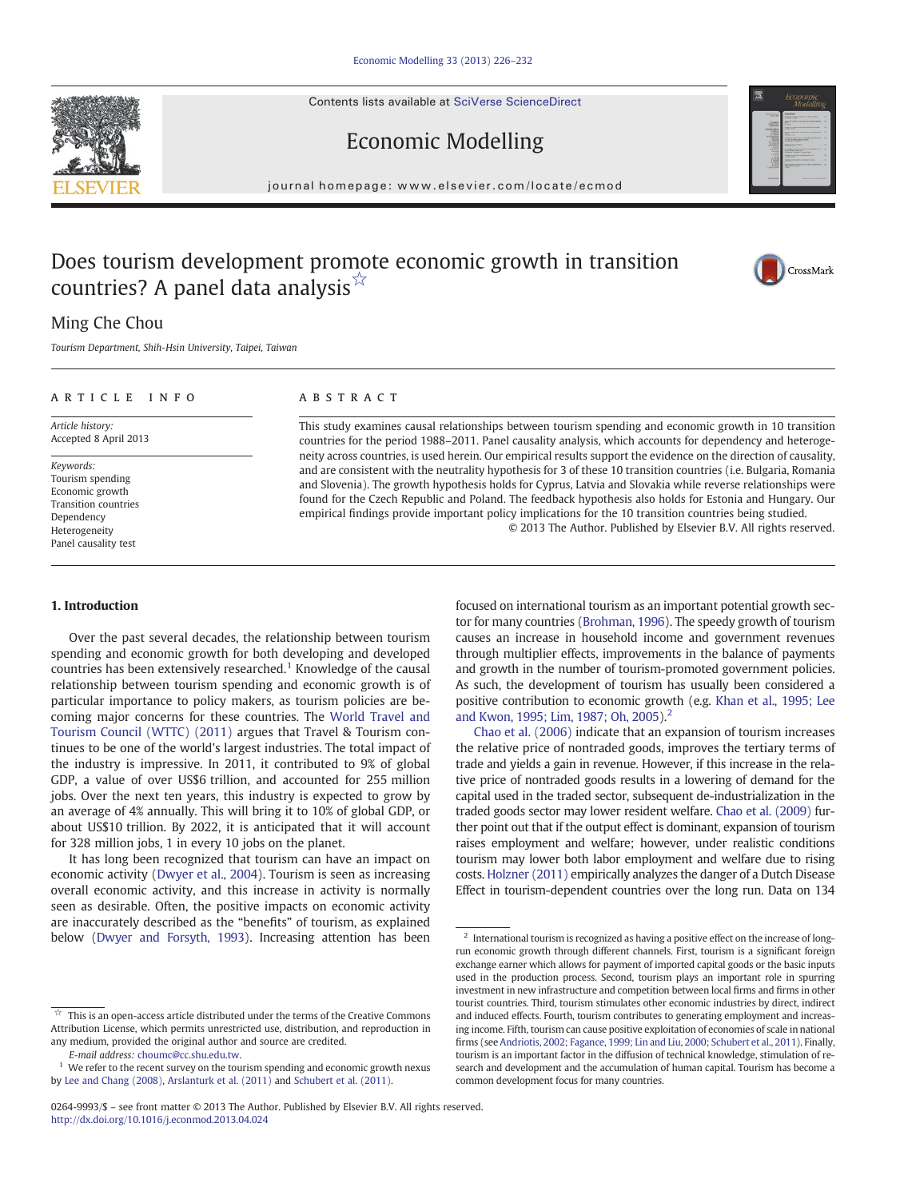Contents lists available at [SciVerse ScienceDirect](http://www.sciencedirect.com/science/journal/02649993)





# Economic Modelling

journal homepage: www.elsevier.com/locate/ecmod

# Does tourism development promote economic growth in transition countries? A panel data analysis $\vec{r}$



## Ming Che Chou

Tourism Department, Shih-Hsin University, Taipei, Taiwan

### article info abstract

Article history: Accepted 8 April 2013

Keywords: Tourism spending Economic growth Transition countries Dependency Heterogeneity Panel causality test

This study examines causal relationships between tourism spending and economic growth in 10 transition countries for the period 1988–2011. Panel causality analysis, which accounts for dependency and heterogeneity across countries, is used herein. Our empirical results support the evidence on the direction of causality, and are consistent with the neutrality hypothesis for 3 of these 10 transition countries (i.e. Bulgaria, Romania and Slovenia). The growth hypothesis holds for Cyprus, Latvia and Slovakia while reverse relationships were found for the Czech Republic and Poland. The feedback hypothesis also holds for Estonia and Hungary. Our empirical findings provide important policy implications for the 10 transition countries being studied. © 2013 The Author. Published by Elsevier B.V. All rights reserved.

#### 1. Introduction

Over the past several decades, the relationship between tourism spending and economic growth for both developing and developed countries has been extensively researched.<sup>1</sup> Knowledge of the causal relationship between tourism spending and economic growth is of particular importance to policy makers, as tourism policies are becoming major concerns for these countries. The [World Travel and](#page--1-0) [Tourism Council \(WTTC\) \(2011\)](#page--1-0) argues that Travel & Tourism continues to be one of the world's largest industries. The total impact of the industry is impressive. In 2011, it contributed to 9% of global GDP, a value of over US\$6 trillion, and accounted for 255 million jobs. Over the next ten years, this industry is expected to grow by an average of 4% annually. This will bring it to 10% of global GDP, or about US\$10 trillion. By 2022, it is anticipated that it will account for 328 million jobs, 1 in every 10 jobs on the planet.

It has long been recognized that tourism can have an impact on economic activity ([Dwyer et al., 2004](#page--1-0)). Tourism is seen as increasing overall economic activity, and this increase in activity is normally seen as desirable. Often, the positive impacts on economic activity are inaccurately described as the "benefits" of tourism, as explained below [\(Dwyer and Forsyth, 1993\)](#page--1-0). Increasing attention has been

focused on international tourism as an important potential growth sector for many countries ([Brohman, 1996\)](#page--1-0). The speedy growth of tourism causes an increase in household income and government revenues through multiplier effects, improvements in the balance of payments and growth in the number of tourism-promoted government policies. As such, the development of tourism has usually been considered a positive contribution to economic growth (e.g. [Khan et al., 1995; Lee](#page--1-0) [and Kwon, 1995; Lim, 1987; Oh, 2005](#page--1-0)).<sup>2</sup>

[Chao et al. \(2006\)](#page--1-0) indicate that an expansion of tourism increases the relative price of nontraded goods, improves the tertiary terms of trade and yields a gain in revenue. However, if this increase in the relative price of nontraded goods results in a lowering of demand for the capital used in the traded sector, subsequent de-industrialization in the traded goods sector may lower resident welfare. [Chao et al. \(2009\)](#page--1-0) further point out that if the output effect is dominant, expansion of tourism raises employment and welfare; however, under realistic conditions tourism may lower both labor employment and welfare due to rising costs. [Holzner \(2011\)](#page--1-0) empirically analyzes the danger of a Dutch Disease Effect in tourism-dependent countries over the long run. Data on 134

This is an open-access article distributed under the terms of the Creative Commons Attribution License, which permits unrestricted use, distribution, and reproduction in any medium, provided the original author and source are credited.

E-mail address: [choumc@cc.shu.edu.tw.](mailto:choumc@cc.shu.edu.tw)

 $1$  We refer to the recent survey on the tourism spending and economic growth nexus by [Lee and Chang \(2008\),](#page--1-0) [Arslanturk et al. \(2011\)](#page--1-0) and [Schubert et al. \(2011\).](#page--1-0)

<sup>0264-9993/\$</sup> – see front matter © 2013 The Author. Published by Elsevier B.V. All rights reserved. <http://dx.doi.org/10.1016/j.econmod.2013.04.024>

 $^{\rm 2}$  International tourism is recognized as having a positive effect on the increase of longrun economic growth through different channels. First, tourism is a significant foreign exchange earner which allows for payment of imported capital goods or the basic inputs used in the production process. Second, tourism plays an important role in spurring investment in new infrastructure and competition between local firms and firms in other tourist countries. Third, tourism stimulates other economic industries by direct, indirect and induced effects. Fourth, tourism contributes to generating employment and increasing income. Fifth, tourism can cause positive exploitation of economies of scale in national firms (see [Andriotis, 2002; Fagance, 1999; Lin and Liu, 2000; Schubert et al., 2011](#page--1-0)). Finally, tourism is an important factor in the diffusion of technical knowledge, stimulation of research and development and the accumulation of human capital. Tourism has become a common development focus for many countries.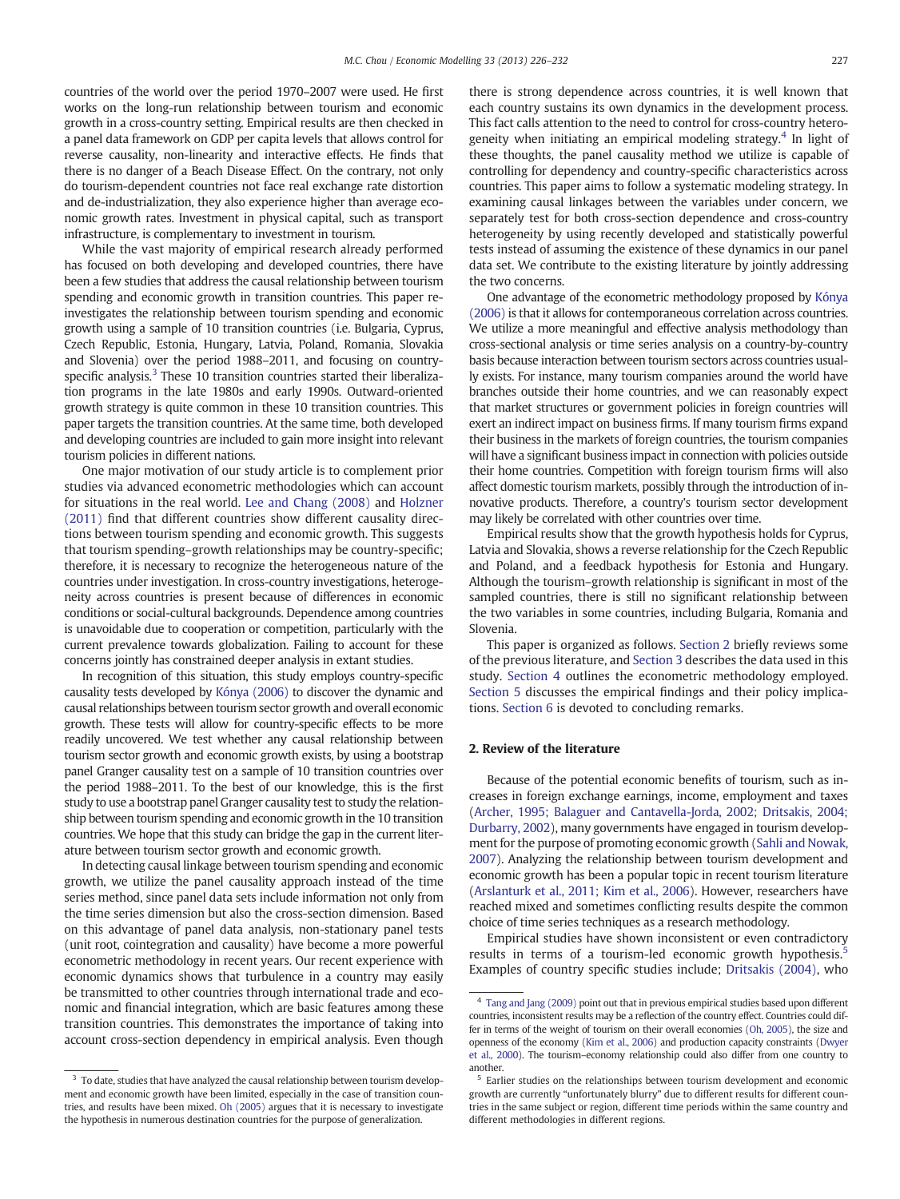countries of the world over the period 1970–2007 were used. He first works on the long-run relationship between tourism and economic growth in a cross-country setting. Empirical results are then checked in a panel data framework on GDP per capita levels that allows control for reverse causality, non-linearity and interactive effects. He finds that there is no danger of a Beach Disease Effect. On the contrary, not only do tourism-dependent countries not face real exchange rate distortion and de-industrialization, they also experience higher than average economic growth rates. Investment in physical capital, such as transport infrastructure, is complementary to investment in tourism.

While the vast majority of empirical research already performed has focused on both developing and developed countries, there have been a few studies that address the causal relationship between tourism spending and economic growth in transition countries. This paper reinvestigates the relationship between tourism spending and economic growth using a sample of 10 transition countries (i.e. Bulgaria, Cyprus, Czech Republic, Estonia, Hungary, Latvia, Poland, Romania, Slovakia and Slovenia) over the period 1988–2011, and focusing on countryspecific analysis.<sup>3</sup> These 10 transition countries started their liberalization programs in the late 1980s and early 1990s. Outward-oriented growth strategy is quite common in these 10 transition countries. This paper targets the transition countries. At the same time, both developed and developing countries are included to gain more insight into relevant tourism policies in different nations.

One major motivation of our study article is to complement prior studies via advanced econometric methodologies which can account for situations in the real world. [Lee and Chang \(2008\)](#page--1-0) and [Holzner](#page--1-0) [\(2011\)](#page--1-0) find that different countries show different causality directions between tourism spending and economic growth. This suggests that tourism spending–growth relationships may be country-specific; therefore, it is necessary to recognize the heterogeneous nature of the countries under investigation. In cross-country investigations, heterogeneity across countries is present because of differences in economic conditions or social-cultural backgrounds. Dependence among countries is unavoidable due to cooperation or competition, particularly with the current prevalence towards globalization. Failing to account for these concerns jointly has constrained deeper analysis in extant studies.

In recognition of this situation, this study employs country-specific causality tests developed by [Kónya \(2006\)](#page--1-0) to discover the dynamic and causal relationships between tourism sector growth and overall economic growth. These tests will allow for country-specific effects to be more readily uncovered. We test whether any causal relationship between tourism sector growth and economic growth exists, by using a bootstrap panel Granger causality test on a sample of 10 transition countries over the period 1988–2011. To the best of our knowledge, this is the first study to use a bootstrap panel Granger causality test to study the relationship between tourism spending and economic growth in the 10 transition countries. We hope that this study can bridge the gap in the current literature between tourism sector growth and economic growth.

In detecting causal linkage between tourism spending and economic growth, we utilize the panel causality approach instead of the time series method, since panel data sets include information not only from the time series dimension but also the cross-section dimension. Based on this advantage of panel data analysis, non-stationary panel tests (unit root, cointegration and causality) have become a more powerful econometric methodology in recent years. Our recent experience with economic dynamics shows that turbulence in a country may easily be transmitted to other countries through international trade and economic and financial integration, which are basic features among these transition countries. This demonstrates the importance of taking into account cross-section dependency in empirical analysis. Even though there is strong dependence across countries, it is well known that each country sustains its own dynamics in the development process. This fact calls attention to the need to control for cross-country heterogeneity when initiating an empirical modeling strategy. $4$  In light of these thoughts, the panel causality method we utilize is capable of controlling for dependency and country-specific characteristics across countries. This paper aims to follow a systematic modeling strategy. In examining causal linkages between the variables under concern, we separately test for both cross-section dependence and cross-country heterogeneity by using recently developed and statistically powerful tests instead of assuming the existence of these dynamics in our panel data set. We contribute to the existing literature by jointly addressing the two concerns.

One advantage of the econometric methodology proposed by [Kónya](#page--1-0) [\(2006\)](#page--1-0) is that it allows for contemporaneous correlation across countries. We utilize a more meaningful and effective analysis methodology than cross-sectional analysis or time series analysis on a country-by-country basis because interaction between tourism sectors across countries usually exists. For instance, many tourism companies around the world have branches outside their home countries, and we can reasonably expect that market structures or government policies in foreign countries will exert an indirect impact on business firms. If many tourism firms expand their business in the markets of foreign countries, the tourism companies will have a significant business impact in connection with policies outside their home countries. Competition with foreign tourism firms will also affect domestic tourism markets, possibly through the introduction of innovative products. Therefore, a country's tourism sector development may likely be correlated with other countries over time.

Empirical results show that the growth hypothesis holds for Cyprus, Latvia and Slovakia, shows a reverse relationship for the Czech Republic and Poland, and a feedback hypothesis for Estonia and Hungary. Although the tourism–growth relationship is significant in most of the sampled countries, there is still no significant relationship between the two variables in some countries, including Bulgaria, Romania and Slovenia.

This paper is organized as follows. Section 2 briefly reviews some of the previous literature, and [Section 3](#page--1-0) describes the data used in this study. [Section 4](#page--1-0) outlines the econometric methodology employed. [Section 5](#page--1-0) discusses the empirical findings and their policy implications. [Section 6](#page--1-0) is devoted to concluding remarks.

#### 2. Review of the literature

Because of the potential economic benefits of tourism, such as increases in foreign exchange earnings, income, employment and taxes [\(Archer, 1995; Balaguer and Cantavella-Jorda, 2002; Dritsakis, 2004;](#page--1-0) [Durbarry, 2002](#page--1-0)), many governments have engaged in tourism development for the purpose of promoting economic growth ([Sahli and Nowak,](#page--1-0) [2007](#page--1-0)). Analyzing the relationship between tourism development and economic growth has been a popular topic in recent tourism literature [\(Arslanturk et al., 2011; Kim et al., 2006](#page--1-0)). However, researchers have reached mixed and sometimes conflicting results despite the common choice of time series techniques as a research methodology.

Empirical studies have shown inconsistent or even contradictory results in terms of a tourism-led economic growth hypothesis.<sup>5</sup> Examples of country specific studies include; [Dritsakis \(2004\),](#page--1-0) who

 $3$  To date, studies that have analyzed the causal relationship between tourism development and economic growth have been limited, especially in the case of transition countries, and results have been mixed. [Oh \(2005\)](#page--1-0) argues that it is necessary to investigate the hypothesis in numerous destination countries for the purpose of generalization.

<sup>4</sup> [Tang and Jang \(2009\)](#page--1-0) point out that in previous empirical studies based upon different countries, inconsistent results may be a reflection of the country effect. Countries could differ in terms of the weight of tourism on their overall economies [\(Oh, 2005](#page--1-0)), the size and openness of the economy ([Kim et al., 2006](#page--1-0)) and production capacity constraints ([Dwyer](#page--1-0) [et al., 2000\)](#page--1-0). The tourism–economy relationship could also differ from one country to another.

<sup>&</sup>lt;sup>5</sup> Earlier studies on the relationships between tourism development and economic growth are currently "unfortunately blurry" due to different results for different countries in the same subject or region, different time periods within the same country and different methodologies in different regions.